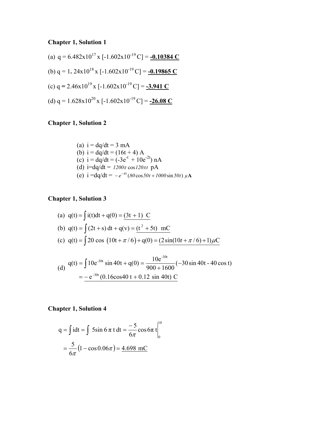(a) 
$$
q = 6.482 \times 10^{17} \times [-1.602 \times 10^{-19} \text{ C}] = \underline{\text{ -0.10384 C}}
$$
  
\n(b)  $q = 1.24 \times 10^{18} \times [-1.602 \times 10^{-19} \text{ C}] = \underline{\text{ -0.19865 C}}$   
\n(c)  $q = 2.46 \times 10^{19} \times [-1.602 \times 10^{-19} \text{ C}] = \underline{\text{ -3.941 C}}$   
\n(d)  $q = 1.628 \times 10^{20} \times [-1.602 \times 10^{-19} \text{ C}] = \underline{\text{ -26.08 C}}$ 

# **Chapter 1, Solution 2**

(a) i = dq/dt = 3 mA  
\n(b) i = dq/dt = (16t + 4) A  
\n(c) i = dq/dt = (-3e<sup>-t</sup> + 10e<sup>-2t</sup>) nA  
\n(d) i=dq/dt = 1200
$$
\pi
$$
 cos 120 $\pi t$  pA  
\n(e) i = dq/dt =  $-e^{-4t}$  (80 cos 50t + 1000 sin 50t)  $\mu$ A

# **Chapter 1, Solution 3**

(a) 
$$
q(t) = \int i(t)dt + q(0) = (3t + 1) C
$$
  
\n(b)  $q(t) = \int (2t + s) dt + q(v) = (t^2 + 5t) mC$   
\n(c)  $q(t) = \int 20 \cos (10t + \pi/6) + q(0) = (2 \sin(10t + \pi/6) + 1) \mu C$   
\n $q(t) = \int 10e^{-30t} \sin 40t + q(0) = \frac{10e^{-30t}}{200} (-30 \sin 40t - 40 \cos 40t)$ 

(d) 
$$
q(t) = \int 10e^{-30t} \sin 40t + q(0) = \frac{10e}{900 + 1600} (-30 \sin 40t - 40 \cos t)
$$

$$
= -e^{-30t} (0.16 \cos 40 t + 0.12 \sin 40t) C
$$

$$
q = \int idt = \int 5\sin 6\pi t dt = \frac{-5}{6\pi} \cos 6\pi t \Big|_0^{10}
$$
  
=  $\frac{5}{6\pi} (1 - \cos 0.06\pi) = \frac{4.698 \text{ mC}}{}$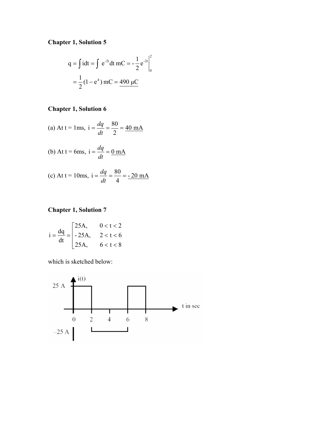$$
q = \int idt = \int e^{-2t} dt \, mC = -\frac{1}{2} e^{-2t} \Big|_0^2
$$
  
=  $\frac{1}{2} (1 - e^4) mC = \frac{490 \, \mu C}{}$ 

## **Chapter 1, Solution 6**

(a) At t = 1ms, i = 
$$
\frac{dq}{dt} = \frac{80}{2} = \frac{40 \text{ mA}}{2}
$$
  
(b) At t = 6ms, i =  $\frac{dq}{dt} = \frac{0 \text{ mA}}{4}$   
(c) At t = 10ms, i =  $\frac{dq}{dt} = \frac{80}{4} = \frac{20 \text{ mA}}{4}$ 

# **Chapter 1, Solution 7**

$$
i = \frac{dq}{dt} = \begin{bmatrix} 25A, & 0 < t < 2 \\ -25A, & 2 < t < 6 \\ 25A, & 6 < t < 8 \end{bmatrix}
$$

which is sketched below:

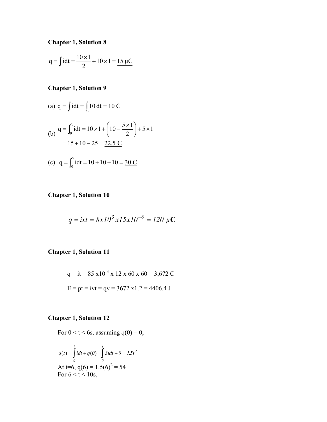$$
q = \int idt = \frac{10 \times 1}{2} + 10 \times 1 = 15 \mu C
$$

### **Chapter 1, Solution 9**

(a) 
$$
q = \int idt = \int_0^1 10 dt = \frac{10 C}{2}
$$
  
\n(b)  $q = \int_0^3 i dt = 10 \times 1 + \left(10 - \frac{5 \times 1}{2}\right) + 5 \times 1$   
\n $= 15 + 10 - 25 = \frac{22.5 C}{2}$   
\n(c)  $q = \int_0^5 i dt = 10 + 10 + 10 = \frac{30 C}{2}$ 

## **Chapter 1, Solution 10**

$$
q = ixt = 8x10^3 x15x10^{-6} = 120 \mu C
$$

## **Chapter 1, Solution 11**

$$
q = it = 85 \times 10^{-3} \times 12 \times 60 \times 60 = 3{,}672
$$
  
E = pt = 100 = 3672 × 1.2 = 4406.4 J

## **Chapter 1, Solution 12**

For  $0 < t < 6s$ , assuming  $q(0) = 0$ ,

$$
q(t) = \int_{0}^{t} i\,dt + q(0) = \int_{0}^{t} 3t\,dt + 0 = 1.5t^{2}
$$
  
At t=6, q(6) = 1.5(6)<sup>2</sup> = 54  
For 6 < t < 10s,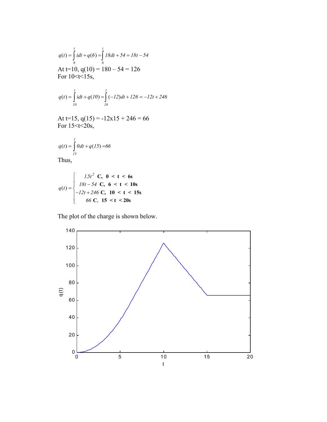$$
q(t) = \int_{6}^{t} i\,dt + q(6) = \int_{6}^{t} 18\,dt + 54 = 18t - 54
$$
  
At t=10, q(10) = 180 - 54 = 126  
For 10 < t < 15s,

$$
q(t) = \int_{10}^{t} i\,dt + q(10) = \int_{10}^{t} (-12)dt + 126 = -12t + 246
$$

At t=15,  $q(15) = -12x15 + 246 = 66$ For  $15 \le t \le 20s$ ,

$$
q(t) = \int_{15}^{t} 0 dt + q(15) = 66
$$
  
Thus

Thus,

$$
q(t) = \begin{cases} 1.5t^2 & \text{C}, \ 0 < t < 6s \\ 18t - 54 & \text{C}, \ 6 < t < 10s \\ -12t + 246 & \text{C}, \ 10 < t < 15s \\ 66 & \text{C}, \ 15 < t < 20s \end{cases}
$$

The plot of the charge is shown below.

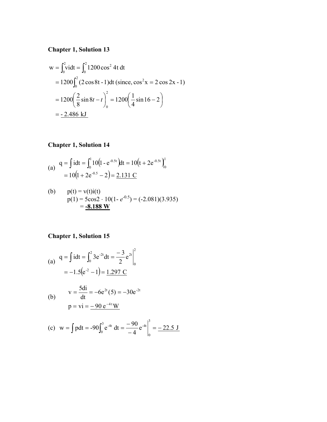$$
w = \int_0^2 v i dt = \int_0^2 1200 \cos^2 4t dt
$$
  
=  $1200 \int_0^2 (2 \cos 8t - 1) dt$  (since,  $\cos^2 x = 2 \cos 2x - 1$ )  
=  $1200 \left(\frac{2}{8} \sin 8t - t\right)_0^2 = 1200 \left(\frac{1}{4} \sin 16 - 2\right)$   
=  $\frac{-2.486 \text{ kJ}}{}$ 

# **Chapter 1, Solution 14**

(a) 
$$
q = \int idt = \int_0^1 10(1 - e^{-0.5t}) dt = 10(t + 2e^{-0.5t})\Big|_0^1
$$
  
=  $10(1 + 2e^{-0.5} - 2) = 2.131$  C

(b) 
$$
p(t) = v(t)i(t)
$$
  
\n $p(1) = 5\cos 2 \cdot 10(1 - e^{-0.5}) = (-2.081)(3.935)$   
\n $= -8.188 \text{ W}$ 

(a) 
$$
q = \int idt = \int_0^2 3e^{-2t} dt = \frac{-3}{2} e^{2t} \Big|_0^2
$$
  
\t\t\t\t $= -1.5(e^{-2} - 1) = \frac{1.297 \text{ C}}{1.297 \text{ C}}$   
\t\t\t\t $v = \frac{5di}{dt} = -6e^{2t}(5) = -30e^{-2t}$   
\t\t\t\t $p = vi = \frac{-90 e^{-4t} W}{}$ 

(c) 
$$
w = \int pdt = -90 \int_0^3 e^{-4t} dt = \frac{-90}{-4} e^{-4t} \Big|_0^3 = \frac{-22.5 \text{ J}}{-22.5 \text{ J}}
$$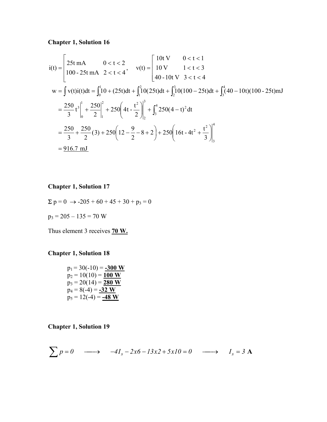$$
i(t) = \begin{bmatrix} 25t \text{ mA} & 0 < t < 2 \\ 100 - 25t \text{ mA} & 2 < t < 4 \end{bmatrix}, \quad v(t) = \begin{bmatrix} 10t \text{ V} & 0 < t < 1 \\ 10 \text{ V} & 1 < t < 3 \\ 40 - 10t \text{ V} & 3 < t < 4 \end{bmatrix}
$$
  
\n
$$
w = \int v(t)i(t)dt = \int_0^1 10 + (25t)dt + \int_1^2 10(25t)dt + \int_2^3 10(100 - 25t)dt + \int_3^4 (40 - 10t)(100 - 25t)dt
$$
  
\n
$$
= \frac{250}{3}t^3 \Big|_0^1 + \frac{250}{2} \Big|_1^2 + 250\Big(4t - \frac{t^2}{2}\Big) \Big|_2^3 + \int_3^4 250(4 - t)^2 dt
$$
  
\n
$$
= \frac{250}{3} + \frac{250}{2}(3) + 250\Big(12 - \frac{9}{2} - 8 + 2\Big) + 250\Big(16t - 4t^2 + \frac{t^2}{3}\Big) \Big|_3^4
$$
  
\n
$$
= \frac{916.7 \text{ mJ}}{3}
$$

### **Chapter 1, Solution 17**

 $\Sigma$  p = 0  $\rightarrow$  -205 + 60 + 45 + 30 + p<sub>3</sub> = 0

 $p_3 = 205 - 135 = 70$  W

Thus element 3 receives **70 W.**

### **Chapter 1, Solution 18**

 $p_1 = 30(-10) = -300$  W  $p_2 = 10(10) = 100$  W  $p_3 = 20(14) = 280$  W  $p_4 = 8(-4) = -32$  W  $p_5 = 12(-4) = -48$  W

$$
\sum p = 0 \quad \longrightarrow \quad -4I_s - 2x\delta - 13x^2 + 5xI\theta = 0 \quad \longrightarrow \quad I_s = 3 \text{ A}
$$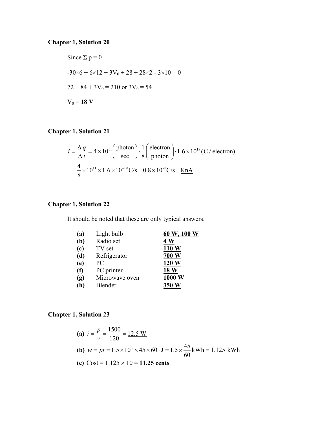Since 
$$
\Sigma p = 0
$$
  
\n $-30 \times 6 + 6 \times 12 + 3V_0 + 28 + 28 \times 2 - 3 \times 10 = 0$   
\n $72 + 84 + 3V_0 = 210$  or  $3V_0 = 54$   
\n $V_0 = 18$  V

$$
i = \frac{\Delta q}{\Delta t} = 4 \times 10^{11} \left( \frac{\text{photon}}{\text{sec}} \right) \cdot \frac{1}{8} \left( \frac{\text{electron}}{\text{photon}} \right) \cdot 1.6 \times 10^{19} (\text{C/electron})
$$

$$
= \frac{4}{8} \times 10^{11} \times 1.6 \times 10^{-19} \text{C/s} = 0.8 \times 10^{-8} \text{C/s} = \frac{8 \text{ nA}}{}
$$

### **Chapter 1, Solution 22**

It should be noted that these are only typical answers.

| (a)                        | Light bulb     | 60 W, 100 W |
|----------------------------|----------------|-------------|
| (b)                        | Radio set      | 4W          |
| $\left( \mathrm{c}\right)$ | TV set         | 110 W       |
| (d)                        | Refrigerator   | 700 W       |
| (e)                        | <b>PC</b>      | 120W        |
| (f)                        | PC printer     | 18 W        |
| (g)                        | Microwave oven | 1000W       |
| (h)                        | Blender        |             |
|                            |                |             |

(a) 
$$
i = \frac{p}{v} = \frac{1500}{120} = \frac{12.5 \text{ W}}{120}
$$
  
\n(b)  $w = pt = 1.5 \times 10^3 \times 45 \times 60 \cdot \text{J} = 1.5 \times \frac{45}{60} \text{ kWh} = \frac{1.125 \text{ kWh}}{60}$   
\n(c) Cost = 1.125 × 10 = 11.25 cents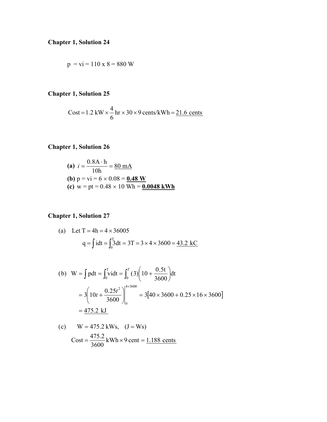$$
p = vi = 110 \times 8 = 880
$$
 W

Cost = 1.2 kW × 
$$
\frac{4}{6}
$$
 hr × 30 × 9 cents/kWh = 21.6 cents

## **Chapter 1, Solution 26**

(a) 
$$
i = \frac{0.8A \cdot h}{10h} = \frac{80 \text{ mA}}{10h}
$$
  
\n(b)  $p = \text{vi} = 6 \times 0.08 = \frac{0.48 \text{ W}}{0.0048 \text{ kWh}}$   
\n(c)  $w = \text{pt} = 0.48 \times 10 \text{ Wh} = \frac{0.0048 \text{ kWh}}{0.0048 \text{ kWh}}$ 

(a) Let T = 4h = 
$$
4 \times 36005
$$
  
q =  $\int idt = \int_0^T 3dt = 3T = 3 \times 4 \times 3600 = 43.2$  kC

(b) 
$$
W = \int pdt = \int_0^T vidt = \int_0^T (3) \left( 10 + \frac{0.5t}{3600} \right) dt
$$
  
=  $3 \left( 10t + \frac{0.25t^2}{3600} \right) \Big|_0^{4 \times 3600} = 3[40 \times 3600 + 0.25 \times 16 \times 3600]$   
=  $\frac{475.2 \text{ kJ}}{}$ 

(c) 
$$
W = 475.2 \text{ kWs}, \quad (J = Ws)
$$
  
\n
$$
\text{Cost} = \frac{475.2}{3600} \text{ kWh} \times 9 \text{ cent} = 1.188 \text{ cents}
$$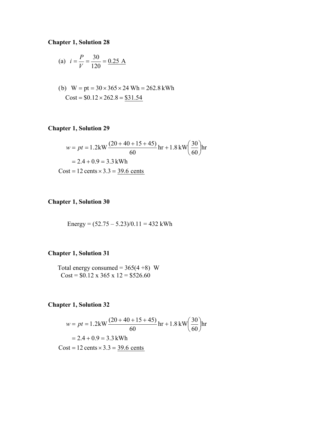(a) 
$$
i = \frac{P}{V} = \frac{30}{120} = \frac{0.25 \text{ A}}{}
$$

(b) 
$$
W = pt = 30 \times 365 \times 24 \text{ Wh} = 262.8 \text{ kWh}
$$
  
Cost = \$0.12 \times 262.8 = \$31.54

### **Chapter 1, Solution 29**

$$
w = pt = 1.2 \text{kW} \frac{(20 + 40 + 15 + 45)}{60} \text{ hr} + 1.8 \text{ kW} \left(\frac{30}{60}\right) \text{ hr}
$$
  
= 2.4 + 0.9 = 3.3 kWh  
Cost = 12 cents × 3.3 =  $\frac{39.6 \text{ cents}}{29.6 \text{ cents}}$ 

### **Chapter 1, Solution 30**

Energy =  $(52.75 - 5.23)/0.11 = 432$  kWh

## **Chapter 1, Solution 31**

Total energy consumed =  $365(4+8)$  W  $\text{Cost} = $0.12 \times 365 \times 12 = $526.60$ 

$$
w = pt = 1.2 \text{kW} \frac{(20 + 40 + 15 + 45)}{60} \text{ hr} + 1.8 \text{ kW} \left(\frac{30}{60}\right) \text{ hr}
$$
  
= 2.4 + 0.9 = 3.3 kWh  
Cost = 12 cents × 3.3 = 39.6 cents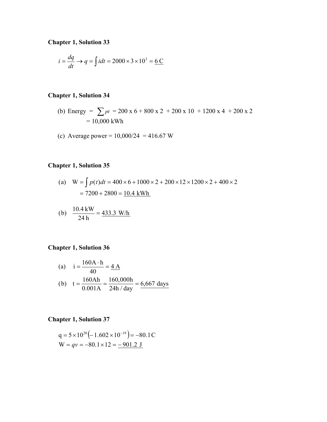$$
i = \frac{dq}{dt} \rightarrow q = \int i dt = 2000 \times 3 \times 10^3 = 6 \text{ C}
$$

#### **Chapter 1, Solution 34**

- (b) Energy =  $\sum pt = 200 \times 6 + 800 \times 2 + 200 \times 10 + 1200 \times 4 + 200 \times 2$  $= 10,000$  kWh
- (c) Average power =  $10,000/24$  = 416.67 W

### **Chapter 1, Solution 35**

 $= 7200 + 2800 = 10.4$  kWh (a)  $W = \int p(t)dt = 400 \times 6 + 1000 \times 2 + 200 \times 12 \times 1200 \times 2 + 400 \times 2$ 

(b) 
$$
\frac{10.4 \text{ kW}}{24 \text{ h}} = \frac{433.3 \text{ W/h}}{24 \text{ h}}
$$

**Chapter 1, Solution 36** 

(a) 
$$
i = \frac{160A \cdot h}{40} = \frac{4A}{40}
$$
  
(b)  $t = \frac{160Ah}{0.001A} = \frac{160,000h}{24h / day} = \frac{6,667 \text{ days}}{24h / day}$ 

$$
q = 5 \times 10^{20} \left(-1.602 \times 10^{-19}\right) = -80.1 \text{ C}
$$
  
W =  $qv = -80.1 \times 12 = -901.2 \text{ J}$